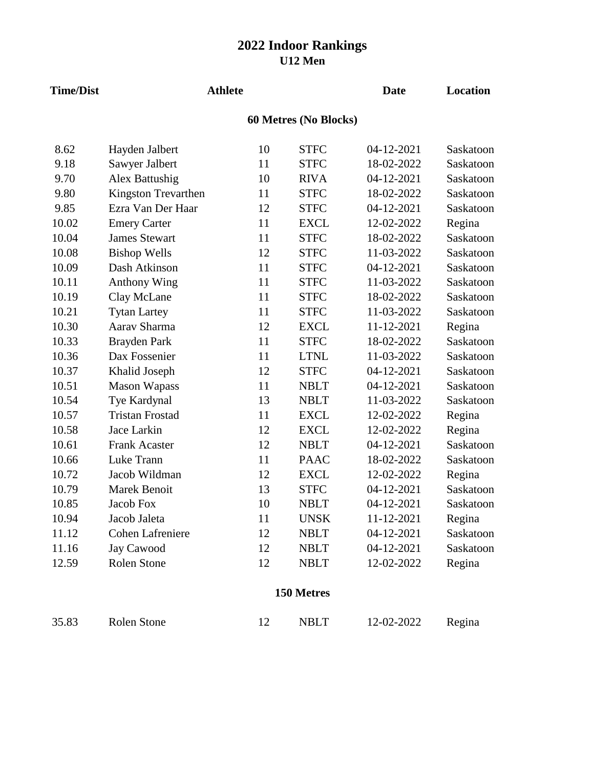## **2022 Indoor Rankings U12 Men**

| <b>Time/Dist</b> |                        | <b>Athlete</b> |             | <b>Date</b> | Location  |  |  |  |  |  |
|------------------|------------------------|----------------|-------------|-------------|-----------|--|--|--|--|--|
|                  | 60 Metres (No Blocks)  |                |             |             |           |  |  |  |  |  |
| 8.62             | Hayden Jalbert         | 10             | <b>STFC</b> | 04-12-2021  | Saskatoon |  |  |  |  |  |
| 9.18             | Sawyer Jalbert         | 11             | <b>STFC</b> | 18-02-2022  | Saskatoon |  |  |  |  |  |
| 9.70             | Alex Battushig         | 10             | <b>RIVA</b> | 04-12-2021  | Saskatoon |  |  |  |  |  |
| 9.80             | Kingston Trevarthen    | 11             | <b>STFC</b> | 18-02-2022  | Saskatoon |  |  |  |  |  |
| 9.85             | Ezra Van Der Haar      | 12             | <b>STFC</b> | 04-12-2021  | Saskatoon |  |  |  |  |  |
| 10.02            | <b>Emery Carter</b>    | 11             | <b>EXCL</b> | 12-02-2022  | Regina    |  |  |  |  |  |
| 10.04            | <b>James Stewart</b>   | 11             | <b>STFC</b> | 18-02-2022  | Saskatoon |  |  |  |  |  |
| 10.08            | <b>Bishop Wells</b>    | 12             | <b>STFC</b> | 11-03-2022  | Saskatoon |  |  |  |  |  |
| 10.09            | Dash Atkinson          | 11             | <b>STFC</b> | 04-12-2021  | Saskatoon |  |  |  |  |  |
| 10.11            | <b>Anthony Wing</b>    | 11             | <b>STFC</b> | 11-03-2022  | Saskatoon |  |  |  |  |  |
| 10.19            | Clay McLane            | 11             | <b>STFC</b> | 18-02-2022  | Saskatoon |  |  |  |  |  |
| 10.21            | <b>Tytan Lartey</b>    | 11             | <b>STFC</b> | 11-03-2022  | Saskatoon |  |  |  |  |  |
| 10.30            | Aarav Sharma           | 12             | <b>EXCL</b> | 11-12-2021  | Regina    |  |  |  |  |  |
| 10.33            | Brayden Park           | 11             | <b>STFC</b> | 18-02-2022  | Saskatoon |  |  |  |  |  |
| 10.36            | Dax Fossenier          | 11             | <b>LTNL</b> | 11-03-2022  | Saskatoon |  |  |  |  |  |
| 10.37            | Khalid Joseph          | 12             | <b>STFC</b> | 04-12-2021  | Saskatoon |  |  |  |  |  |
| 10.51            | <b>Mason Wapass</b>    | 11             | <b>NBLT</b> | 04-12-2021  | Saskatoon |  |  |  |  |  |
| 10.54            | Tye Kardynal           | 13             | <b>NBLT</b> | 11-03-2022  | Saskatoon |  |  |  |  |  |
| 10.57            | <b>Tristan Frostad</b> | 11             | <b>EXCL</b> | 12-02-2022  | Regina    |  |  |  |  |  |
| 10.58            | Jace Larkin            | 12             | <b>EXCL</b> | 12-02-2022  | Regina    |  |  |  |  |  |
| 10.61            | <b>Frank Acaster</b>   | 12             | <b>NBLT</b> | 04-12-2021  | Saskatoon |  |  |  |  |  |
| 10.66            | Luke Trann             | 11             | <b>PAAC</b> | 18-02-2022  | Saskatoon |  |  |  |  |  |
| 10.72            | Jacob Wildman          | 12             | <b>EXCL</b> | 12-02-2022  | Regina    |  |  |  |  |  |
| 10.79            | Marek Benoit           | 13             | <b>STFC</b> | 04-12-2021  | Saskatoon |  |  |  |  |  |
| 10.85            | Jacob Fox              | 10             | <b>NBLT</b> | 04-12-2021  | Saskatoon |  |  |  |  |  |
| 10.94            | Jacob Jaleta           | 11             | <b>UNSK</b> | 11-12-2021  | Regina    |  |  |  |  |  |
| 11.12            | Cohen Lafreniere       | 12             | <b>NBLT</b> | 04-12-2021  | Saskatoon |  |  |  |  |  |
| 11.16            | <b>Jay Cawood</b>      | 12             | <b>NBLT</b> | 04-12-2021  | Saskatoon |  |  |  |  |  |
| 12.59            | Rolen Stone            | 12             | <b>NBLT</b> | 12-02-2022  | Regina    |  |  |  |  |  |
| 150 Metres       |                        |                |             |             |           |  |  |  |  |  |

35.83 Rolen Stone 12 NBLT 12-02-2022 Regina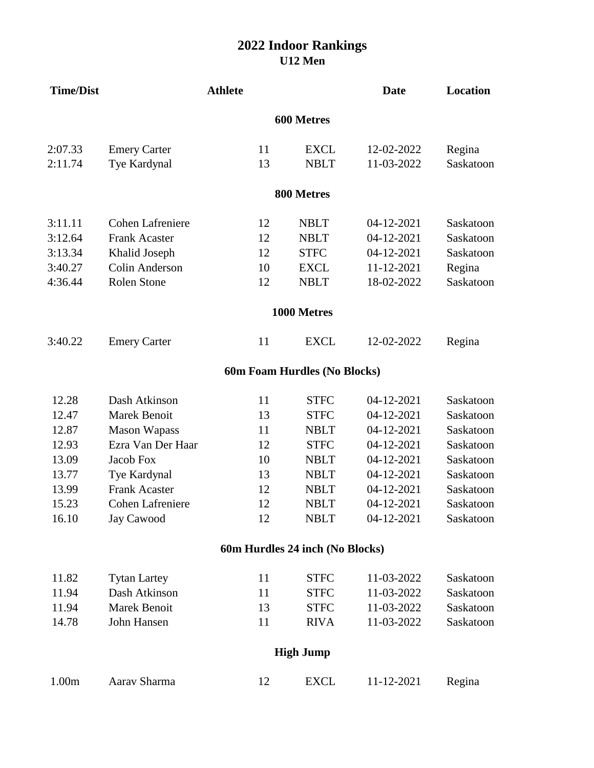## **U12 Men 2022 Indoor Rankings**

| <b>Time/Dist</b>  |                         | <b>Athlete</b>                  |                              | <b>Date</b> | <b>Location</b> |  |  |  |
|-------------------|-------------------------|---------------------------------|------------------------------|-------------|-----------------|--|--|--|
| 600 Metres        |                         |                                 |                              |             |                 |  |  |  |
| 2:07.33           | <b>Emery Carter</b>     | 11                              | <b>EXCL</b>                  | 12-02-2022  | Regina          |  |  |  |
| 2:11.74           | Tye Kardynal            | 13                              | <b>NBLT</b>                  | 11-03-2022  | Saskatoon       |  |  |  |
|                   |                         |                                 | 800 Metres                   |             |                 |  |  |  |
| 3:11.11           | <b>Cohen Lafreniere</b> | 12                              | <b>NBLT</b>                  | 04-12-2021  | Saskatoon       |  |  |  |
| 3:12.64           | <b>Frank Acaster</b>    | 12                              | <b>NBLT</b>                  | 04-12-2021  | Saskatoon       |  |  |  |
| 3:13.34           | Khalid Joseph           | 12                              | <b>STFC</b>                  | 04-12-2021  | Saskatoon       |  |  |  |
| 3:40.27           | Colin Anderson          | 10                              | <b>EXCL</b>                  | 11-12-2021  | Regina          |  |  |  |
| 4:36.44           | <b>Rolen Stone</b>      | 12                              | <b>NBLT</b>                  | 18-02-2022  | Saskatoon       |  |  |  |
|                   |                         |                                 | 1000 Metres                  |             |                 |  |  |  |
| 3:40.22           | <b>Emery Carter</b>     | 11                              | <b>EXCL</b>                  | 12-02-2022  | Regina          |  |  |  |
|                   |                         |                                 | 60m Foam Hurdles (No Blocks) |             |                 |  |  |  |
| 12.28             | Dash Atkinson           | 11                              | <b>STFC</b>                  | 04-12-2021  | Saskatoon       |  |  |  |
| 12.47             | <b>Marek Benoit</b>     | 13                              | <b>STFC</b>                  | 04-12-2021  | Saskatoon       |  |  |  |
| 12.87             | <b>Mason Wapass</b>     | 11                              | <b>NBLT</b>                  | 04-12-2021  | Saskatoon       |  |  |  |
| 12.93             | Ezra Van Der Haar       | 12                              | <b>STFC</b>                  | 04-12-2021  | Saskatoon       |  |  |  |
| 13.09             | Jacob Fox               | 10                              | <b>NBLT</b>                  | 04-12-2021  | Saskatoon       |  |  |  |
| 13.77             | Tye Kardynal            | 13                              | <b>NBLT</b>                  | 04-12-2021  | Saskatoon       |  |  |  |
| 13.99             | <b>Frank Acaster</b>    | 12                              | <b>NBLT</b>                  | 04-12-2021  | Saskatoon       |  |  |  |
| 15.23             | <b>Cohen Lafreniere</b> | 12                              | <b>NBLT</b>                  | 04-12-2021  | Saskatoon       |  |  |  |
| 16.10             | <b>Jay Cawood</b>       | 12                              | <b>NBLT</b>                  | 04-12-2021  | Saskatoon       |  |  |  |
|                   |                         | 60m Hurdles 24 inch (No Blocks) |                              |             |                 |  |  |  |
| 11.82             | <b>Tytan Lartey</b>     | 11                              | <b>STFC</b>                  | 11-03-2022  | Saskatoon       |  |  |  |
| 11.94             | Dash Atkinson           | 11                              | <b>STFC</b>                  | 11-03-2022  | Saskatoon       |  |  |  |
| 11.94             | Marek Benoit            | 13                              | <b>STFC</b>                  | 11-03-2022  | Saskatoon       |  |  |  |
| 14.78             | John Hansen             | 11                              | <b>RIVA</b>                  | 11-03-2022  | Saskatoon       |  |  |  |
|                   |                         |                                 | <b>High Jump</b>             |             |                 |  |  |  |
| 1.00 <sub>m</sub> | Aarav Sharma            | 12                              | <b>EXCL</b>                  | 11-12-2021  | Regina          |  |  |  |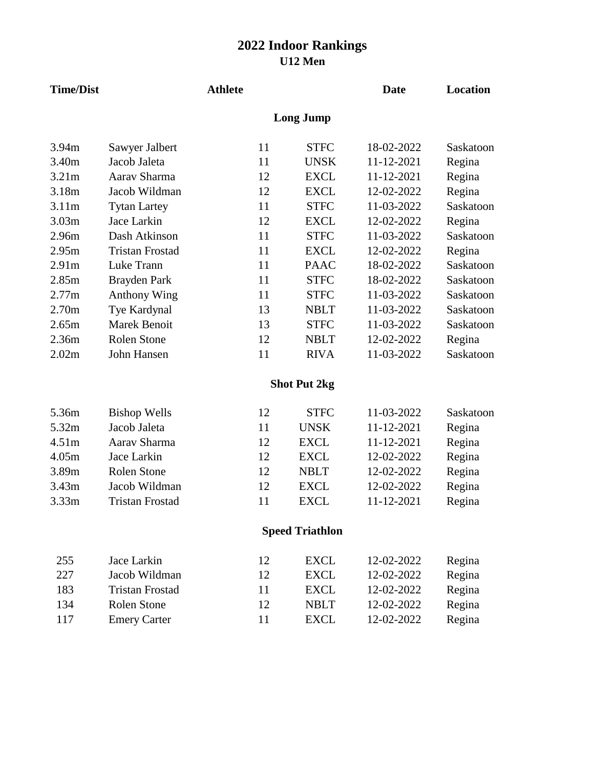## **U12 Men 2022 Indoor Rankings**

| <b>Time/Dist</b>  |                        | <b>Athlete</b> |                        | <b>Date</b> | <b>Location</b> |
|-------------------|------------------------|----------------|------------------------|-------------|-----------------|
|                   |                        |                | <b>Long Jump</b>       |             |                 |
| 3.94m             | Sawyer Jalbert         | 11             | <b>STFC</b>            | 18-02-2022  | Saskatoon       |
| 3.40m             | Jacob Jaleta           | 11             | <b>UNSK</b>            | 11-12-2021  | Regina          |
| 3.21m             | Aarav Sharma           | 12             | <b>EXCL</b>            | 11-12-2021  | Regina          |
| 3.18m             | Jacob Wildman          | 12             | <b>EXCL</b>            | 12-02-2022  | Regina          |
| 3.11m             | <b>Tytan Lartey</b>    | 11             | <b>STFC</b>            | 11-03-2022  | Saskatoon       |
| 3.03m             | Jace Larkin            | 12             | <b>EXCL</b>            | 12-02-2022  | Regina          |
| 2.96m             | Dash Atkinson          | 11             | <b>STFC</b>            | 11-03-2022  | Saskatoon       |
| 2.95m             | <b>Tristan Frostad</b> | 11             | <b>EXCL</b>            | 12-02-2022  | Regina          |
| 2.91 <sub>m</sub> | Luke Trann             | 11             | <b>PAAC</b>            | 18-02-2022  | Saskatoon       |
| 2.85m             | Brayden Park           | 11             | <b>STFC</b>            | 18-02-2022  | Saskatoon       |
| 2.77m             | <b>Anthony Wing</b>    | 11             | <b>STFC</b>            | 11-03-2022  | Saskatoon       |
| 2.70 <sub>m</sub> | Tye Kardynal           | 13             | <b>NBLT</b>            | 11-03-2022  | Saskatoon       |
| 2.65m             | <b>Marek Benoit</b>    | 13             | <b>STFC</b>            | 11-03-2022  | Saskatoon       |
| 2.36m             | <b>Rolen Stone</b>     | 12             | <b>NBLT</b>            | 12-02-2022  | Regina          |
| 2.02m             | John Hansen            | 11             | <b>RIVA</b>            | 11-03-2022  | Saskatoon       |
|                   |                        |                | <b>Shot Put 2kg</b>    |             |                 |
| 5.36m             | <b>Bishop Wells</b>    | 12             | <b>STFC</b>            | 11-03-2022  | Saskatoon       |
| 5.32m             | Jacob Jaleta           | 11             | <b>UNSK</b>            | 11-12-2021  | Regina          |
| 4.51m             | Aarav Sharma           | 12             | <b>EXCL</b>            | 11-12-2021  | Regina          |
| 4.05m             | Jace Larkin            | 12             | <b>EXCL</b>            | 12-02-2022  | Regina          |
| 3.89m             | <b>Rolen Stone</b>     | 12             | <b>NBLT</b>            | 12-02-2022  | Regina          |
| 3.43m             | Jacob Wildman          | 12             | <b>EXCL</b>            | 12-02-2022  | Regina          |
| 3.33m             | <b>Tristan Frostad</b> | 11             | <b>EXCL</b>            | 11-12-2021  | Regina          |
|                   |                        |                | <b>Speed Triathlon</b> |             |                 |
| 255               | Jace Larkin            | 12             | <b>EXCL</b>            | 12-02-2022  | Regina          |
| 227               | Jacob Wildman          | 12             | <b>EXCL</b>            | 12-02-2022  | Regina          |
| 183               | <b>Tristan Frostad</b> | 11             | <b>EXCL</b>            | 12-02-2022  | Regina          |
| 134               | Rolen Stone            | 12             | <b>NBLT</b>            | 12-02-2022  | Regina          |

117 Emery Carter 11 EXCL 12-02-2022 Regina